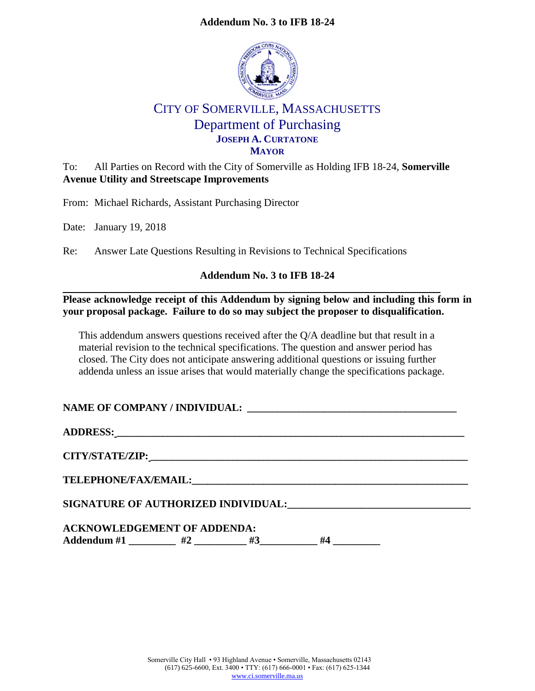# **Addendum No. 3 to IFB 18-24**



# CITY OF SOMERVILLE, MASSACHUSETTS Department of Purchasing **JOSEPH A. CURTATONE MAYOR**

To: All Parties on Record with the City of Somerville as Holding IFB 18-24, **Somerville Avenue Utility and Streetscape Improvements**

From: Michael Richards, Assistant Purchasing Director

Date: January 19, 2018

Re: Answer Late Questions Resulting in Revisions to Technical Specifications

# **Addendum No. 3 to IFB 18-24**

**Please acknowledge receipt of this Addendum by signing below and including this form in your proposal package. Failure to do so may subject the proposer to disqualification.**

This addendum answers questions received after the Q/A deadline but that result in a material revision to the technical specifications. The question and answer period has closed. The City does not anticipate answering additional questions or issuing further addenda unless an issue arises that would materially change the specifications package.

# **NAME OF COMPANY / INDIVIDUAL: \_\_\_\_\_\_\_\_\_\_\_\_\_\_\_\_\_\_\_\_\_\_\_\_\_\_\_\_\_\_\_\_\_\_\_\_\_\_\_\_\_**

**ADDRESS: \_\_\_\_\_\_\_\_\_\_\_\_\_\_\_\_\_\_\_\_\_\_\_\_\_\_\_\_\_\_\_\_\_\_\_\_\_\_\_\_\_\_\_\_\_\_\_\_\_\_\_\_\_\_\_\_\_\_\_\_\_\_\_\_\_\_\_\_**

**CITY/STATE/ZIP: \_\_\_\_\_\_\_\_\_\_\_\_\_\_\_\_\_\_\_\_\_\_\_\_\_\_\_\_\_\_\_\_\_\_\_\_\_\_\_\_\_\_\_\_\_\_\_\_\_\_\_\_\_\_\_\_\_\_\_\_\_\_**

 $\bf{TELEPHONE/FAX/EMAIL:}$ 

**SIGNATURE OF AUTHORIZED INDIVIDUAL:\_\_\_\_\_\_\_\_\_\_\_\_\_\_\_\_\_\_\_\_\_\_\_\_\_\_\_\_\_\_\_\_\_\_\_**

| <b>ACKNOWLEDGEMENT OF ADDENDA:</b> |  |  |    |
|------------------------------------|--|--|----|
| Addendum #1                        |  |  | Ħ٨ |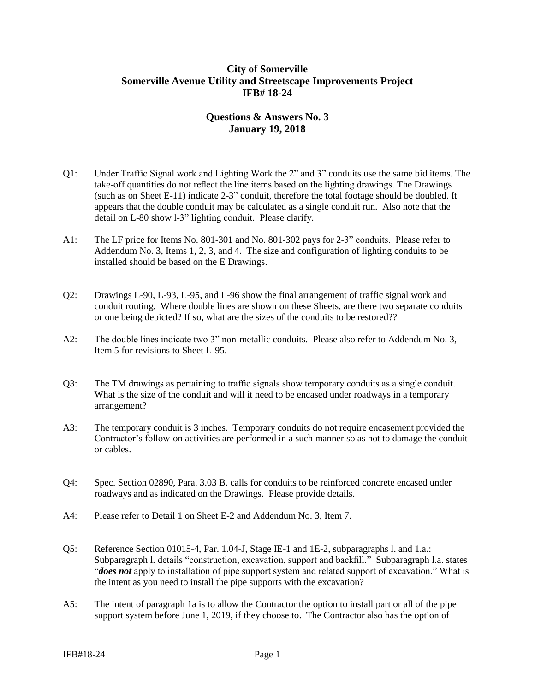## **City of Somerville Somerville Avenue Utility and Streetscape Improvements Project IFB# 18-24**

# **Questions & Answers No. 3 January 19, 2018**

- Q1: Under Traffic Signal work and Lighting Work the 2" and 3" conduits use the same bid items. The take-off quantities do not reflect the line items based on the lighting drawings. The Drawings (such as on Sheet E-11) indicate 2-3" conduit, therefore the total footage should be doubled. It appears that the double conduit may be calculated as a single conduit run. Also note that the detail on L-80 show l-3" lighting conduit. Please clarify.
- A1: The LF price for Items No. 801-301 and No. 801-302 pays for 2-3" conduits. Please refer to Addendum No. 3, Items 1, 2, 3, and 4. The size and configuration of lighting conduits to be installed should be based on the E Drawings.
- Q2: Drawings L-90, L-93, L-95, and L-96 show the final arrangement of traffic signal work and conduit routing. Where double lines are shown on these Sheets, are there two separate conduits or one being depicted? If so, what are the sizes of the conduits to be restored??
- A2: The double lines indicate two 3" non-metallic conduits. Please also refer to Addendum No. 3, Item 5 for revisions to Sheet L-95.
- Q3: The TM drawings as pertaining to traffic signals show temporary conduits as a single conduit. What is the size of the conduit and will it need to be encased under roadways in a temporary arrangement?
- A3: The temporary conduit is 3 inches. Temporary conduits do not require encasement provided the Contractor's follow-on activities are performed in a such manner so as not to damage the conduit or cables.
- Q4: Spec. Section 02890, Para. 3.03 B. calls for conduits to be reinforced concrete encased under roadways and as indicated on the Drawings. Please provide details.
- A4: Please refer to Detail 1 on Sheet E-2 and Addendum No. 3, Item 7.
- Q5: Reference Section 01015-4, Par. 1.04-J, Stage IE-1 and 1E-2, subparagraphs l. and 1.a.: Subparagraph l. details "construction, excavation, support and backfill." Subparagraph l.a. states "*does not* apply to installation of pipe support system and related support of excavation." What is the intent as you need to install the pipe supports with the excavation?
- A5: The intent of paragraph 1a is to allow the Contractor the option to install part or all of the pipe support system before June 1, 2019, if they choose to. The Contractor also has the option of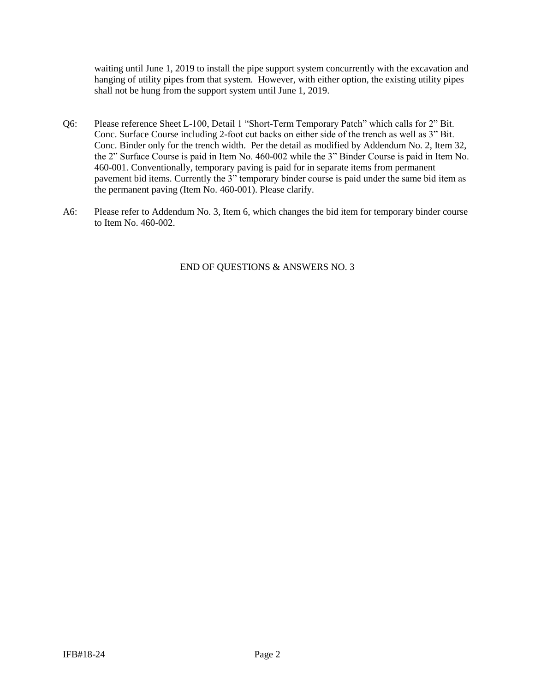waiting until June 1, 2019 to install the pipe support system concurrently with the excavation and hanging of utility pipes from that system. However, with either option, the existing utility pipes shall not be hung from the support system until June 1, 2019.

- Q6: Please reference Sheet L-100, Detail 1 "Short-Term Temporary Patch" which calls for 2" Bit. Conc. Surface Course including 2-foot cut backs on either side of the trench as well as 3" Bit. Conc. Binder only for the trench width. Per the detail as modified by Addendum No. 2, Item 32, the 2" Surface Course is paid in Item No. 460-002 while the 3" Binder Course is paid in Item No. 460-001. Conventionally, temporary paving is paid for in separate items from permanent pavement bid items. Currently the 3" temporary binder course is paid under the same bid item as the permanent paving (Item No. 460-001). Please clarify.
- A6: Please refer to Addendum No. 3, Item 6, which changes the bid item for temporary binder course to Item No. 460-002.

END OF QUESTIONS & ANSWERS NO. 3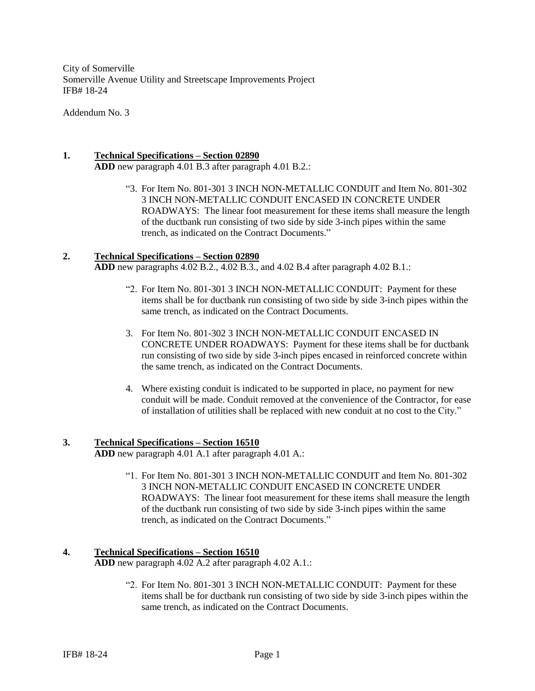City of Somerville Somerville Avenue Utility and Streetscape Improvements Project IFB# 18-24

Addendum No. 3

### **1. Technical Specifications – Section 02890**

**ADD** new paragraph 4.01 B.3 after paragraph 4.01 B.2.:

"3. For Item No. 801-301 3 INCH NON-METALLIC CONDUIT and Item No. 801-302 3 INCH NON-METALLIC CONDUIT ENCASED IN CONCRETE UNDER ROADWAYS: The linear foot measurement for these items shall measure the length of the ductbank run consisting of two side by side 3-inch pipes within the same trench, as indicated on the Contract Documents."

#### **2. Technical Specifications – Section 02890**

**ADD** new paragraphs 4.02 B.2., 4.02 B.3., and 4.02 B.4 after paragraph 4.02 B.1.:

- "2. For Item No. 801-301 3 INCH NON-METALLIC CONDUIT: Payment for these items shall be for ductbank run consisting of two side by side 3-inch pipes within the same trench, as indicated on the Contract Documents.
- 3. For Item No. 801-302 3 INCH NON-METALLIC CONDUIT ENCASED IN CONCRETE UNDER ROADWAYS: Payment for these items shall be for ductbank run consisting of two side by side 3-inch pipes encased in reinforced concrete within the same trench, as indicated on the Contract Documents.
- 4. Where existing conduit is indicated to be supported in place, no payment for new conduit will be made. Conduit removed at the convenience of the Contractor, for ease of installation of utilities shall be replaced with new conduit at no cost to the City."

#### **3. Technical Specifications – Section 16510**

**ADD** new paragraph 4.01 A.1 after paragraph 4.01 A.:

"1. For Item No. 801-301 3 INCH NON-METALLIC CONDUIT and Item No. 801-302 3 INCH NON-METALLIC CONDUIT ENCASED IN CONCRETE UNDER ROADWAYS: The linear foot measurement for these items shall measure the length of the ductbank run consisting of two side by side 3-inch pipes within the same trench, as indicated on the Contract Documents."

## **4. Technical Specifications – Section 16510**

**ADD** new paragraph 4.02 A.2 after paragraph 4.02 A.1.:

"2. For Item No. 801-301 3 INCH NON-METALLIC CONDUIT: Payment for these items shall be for ductbank run consisting of two side by side 3-inch pipes within the same trench, as indicated on the Contract Documents.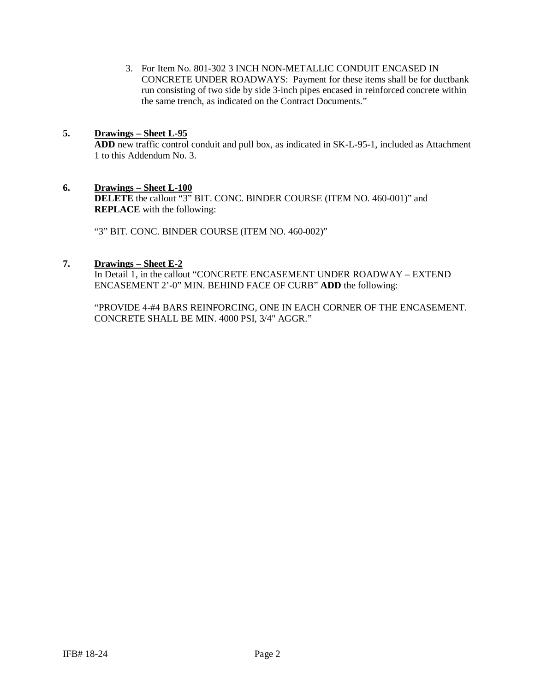3. For Item No. 801-302 3 INCH NON-METALLIC CONDUIT ENCASED IN CONCRETE UNDER ROADWAYS: Payment for these items shall be for ductbank run consisting of two side by side 3-inch pipes encased in reinforced concrete within the same trench, as indicated on the Contract Documents."

### **5. Drawings – Sheet L-95**

**ADD** new traffic control conduit and pull box, as indicated in SK-L-95-1, included as Attachment 1 to this Addendum No. 3.

#### **6. Drawings – Sheet L-100**

**DELETE** the callout "3" BIT. CONC. BINDER COURSE (ITEM NO. 460-001)" and **REPLACE** with the following:

"3" BIT. CONC. BINDER COURSE (ITEM NO. 460-002)"

#### **7. Drawings – Sheet E-2**

In Detail 1, in the callout "CONCRETE ENCASEMENT UNDER ROADWAY – EXTEND ENCASEMENT 2'-0" MIN. BEHIND FACE OF CURB" **ADD** the following:

"PROVIDE 4-#4 BARS REINFORCING, ONE IN EACH CORNER OF THE ENCASEMENT. CONCRETE SHALL BE MIN. 4000 PSI, 3/4" AGGR."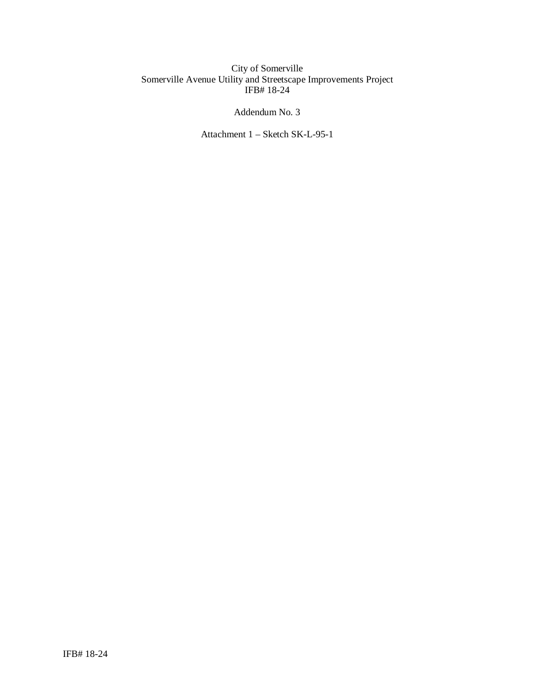#### City of Somerville Somerville Avenue Utility and Streetscape Improvements Project IFB# 18-24

## Addendum No. 3

Attachment 1 – Sketch SK-L-95-1